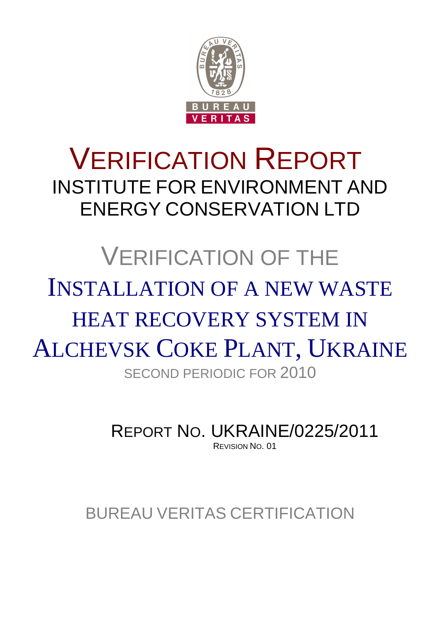

## VERIFICATION REPORT INSTITUTE FOR ENVIRONMENT AND ENERGY CONSERVATION LTD

# VERIFICATION OF THE INSTALLATION OF A NEW WASTE HEAT RECOVERY SYSTEM IN ALCHEVSK COKE PLANT, UKRAINE SECOND PERIODIC FOR 2010

REPORT NO. UKRAINE/0225/2011 REVISION NO. 01

BUREAU VERITAS CERTIFICATION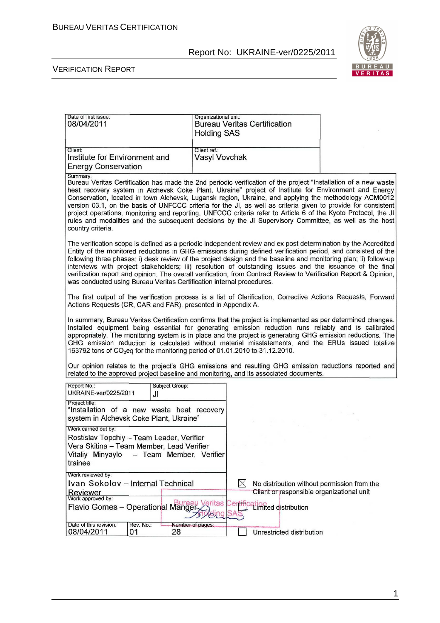

| Date of first issue:<br>08/04/2011                                                                                                                                       | Organizational unit:<br><b>Bureau Veritas Certification</b><br><b>Holding SAS</b>                                                                                                                                                                                                                                                                                                                                                                                                                                                                                                                                                                                              |  |
|--------------------------------------------------------------------------------------------------------------------------------------------------------------------------|--------------------------------------------------------------------------------------------------------------------------------------------------------------------------------------------------------------------------------------------------------------------------------------------------------------------------------------------------------------------------------------------------------------------------------------------------------------------------------------------------------------------------------------------------------------------------------------------------------------------------------------------------------------------------------|--|
| Client:<br>Institute for Environment and<br><b>Energy Conservation</b>                                                                                                   | Client ref.:<br><b>Vasyl Vovchak</b>                                                                                                                                                                                                                                                                                                                                                                                                                                                                                                                                                                                                                                           |  |
| Summary:<br>country criteria.                                                                                                                                            | Bureau Veritas Certification has made the 2nd periodic verification of the project "Installation of a new waste<br>heat recovery system in Alchevsk Coke Plant, Ukraine" project of Institute for Environment and Energy<br>Conservation, located in town Alchevsk, Lugansk region, Ukraine, and applying the methodology ACM0012<br>version 03.1, on the basis of UNFCCC criteria for the JI, as well as criteria given to provide for consistent<br>project operations, monitoring and reporting. UNFCCC criteria refer to Article 6 of the Kyoto Protocol, the JI<br>rules and modalities and the subsequent decisions by the JI Supervisory Committee, as well as the host |  |
| was conducted using Bureau Veritas Certification internal procedures.                                                                                                    | The verification scope is defined as a periodic independent review and ex post determination by the Accredited<br>Entity of the monitored reductions in GHG emissions during defined verification period, and consisted of the<br>following three phases: i) desk review of the project design and the baseline and monitoring plan; ii) follow-up<br>interviews with project stakeholders; iii) resolution of outstanding issues and the issuance of the final<br>verification report and opinion. The overall verification, from Contract Review to Verification Report & Opinion,                                                                                           |  |
| Actions Requests (CR, CAR and FAR), presented in Appendix A.                                                                                                             | The first output of the verification process is a list of Clarification, Corrective Actions Requests, Forward                                                                                                                                                                                                                                                                                                                                                                                                                                                                                                                                                                  |  |
| 163792 tons of CO <sub>2</sub> eq for the monitoring period of 01.01.2010 to 31.12.2010.                                                                                 | In summary, Bureau Veritas Certification confirms that the project is implemented as per determined changes.<br>Installed equipment being essential for generating emission reduction runs reliably and is calibrated<br>appropriately. The monitoring system is in place and the project is generating GHG emission reductions. The<br>GHG emission reduction is calculated without material misstatements, and the ERUs issued totalize                                                                                                                                                                                                                                      |  |
|                                                                                                                                                                          | Our opinion relates to the project's GHG emissions and resulting GHG emission reductions reported and<br>related to the approved project baseline and monitoring, and its associated documents.                                                                                                                                                                                                                                                                                                                                                                                                                                                                                |  |
| Report No.:<br>Subject Group:<br>UKRAINE-ver/0225/2011<br>JI                                                                                                             |                                                                                                                                                                                                                                                                                                                                                                                                                                                                                                                                                                                                                                                                                |  |
| Project title:<br>"Installation of a new waste heat recovery<br>system in Alchevsk Coke Plant, Ukraine"                                                                  |                                                                                                                                                                                                                                                                                                                                                                                                                                                                                                                                                                                                                                                                                |  |
| Work carried out by:<br>Rostislav Topchiy - Team Leader, Verifier<br>Vera Skitina - Team Member, Lead Verifier<br>Vitaliy Minyaylo<br>- Team Member, Verifier<br>trainee |                                                                                                                                                                                                                                                                                                                                                                                                                                                                                                                                                                                                                                                                                |  |
| Work reviewed by:<br>Ivan Sokolov - Internal Technical                                                                                                                   | $\times$<br>No distribution without permission from the                                                                                                                                                                                                                                                                                                                                                                                                                                                                                                                                                                                                                        |  |
| Reviewer<br>Work approved by:<br>Flavio Gomes - Operational Manger                                                                                                       | Client or responsible organizational unit<br>Veritas<br>-61<br>ation <sub>ted</sub> distribution<br><b><i><u>amg</u></i></b>                                                                                                                                                                                                                                                                                                                                                                                                                                                                                                                                                   |  |
| Date of this revision:<br>Rev. No.:<br>08/04/2011<br>28<br>01                                                                                                            | Number of pages:<br>Unrestricted distribution                                                                                                                                                                                                                                                                                                                                                                                                                                                                                                                                                                                                                                  |  |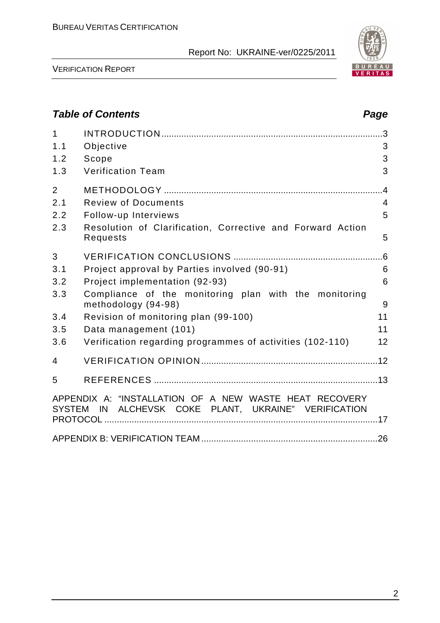

VERIFICATION REPORT

## **Table of Contents Page 2018**

| $\mathbf{1}$<br>1.1<br>1.2<br>1.3   | Objective<br>Scope<br><b>Verification Team</b>                                                                               | .3<br>3<br>3<br>3                           |
|-------------------------------------|------------------------------------------------------------------------------------------------------------------------------|---------------------------------------------|
| $\overline{2}$<br>2.1<br>2.2<br>2.3 | <b>Review of Documents</b><br>Follow-up Interviews<br>Resolution of Clarification, Corrective and Forward Action<br>Requests | $\overline{.4}$<br>$\overline{4}$<br>5<br>5 |
| 3<br>3.1<br>3.2                     | Project approval by Parties involved (90-91)<br>Project implementation (92-93)                                               | .6<br>6<br>6                                |
| 3.3                                 | Compliance of the monitoring plan with the monitoring<br>methodology (94-98)                                                 | 9                                           |
| 3.4                                 | Revision of monitoring plan (99-100)                                                                                         | 11                                          |
| 3.5                                 | Data management (101)                                                                                                        | 11                                          |
| 3.6                                 | Verification regarding programmes of activities (102-110)                                                                    | 12                                          |
| 4                                   |                                                                                                                              |                                             |
| 5                                   |                                                                                                                              |                                             |
|                                     | APPENDIX A: "INSTALLATION OF A NEW WASTE HEAT RECOVERY<br>SYSTEM IN ALCHEVSK COKE PLANT, UKRAINE" VERIFICATION               |                                             |
|                                     |                                                                                                                              |                                             |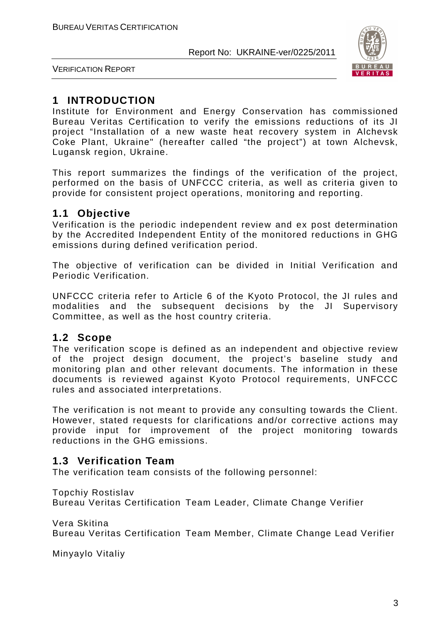

VERIFICATION REPORT

## **1 INTRODUCTION**

Institute for Environment and Energy Conservation has commissioned Bureau Veritas Certification to verify the emissions reductions of its JI project "Installation of a new waste heat recovery system in Alchevsk Coke Plant, Ukraine" (hereafter called "the project") at town Alchevsk, Lugansk region, Ukraine.

This report summarizes the findings of the verification of the project, performed on the basis of UNFCCC criteria, as well as criteria given to provide for consistent project operations, monitoring and reporting.

## **1.1 Objective**

Verification is the periodic independent review and ex post determination by the Accredited Independent Entity of the monitored reductions in GHG emissions during defined verification period.

The objective of verification can be divided in Initial Verification and Periodic Verification.

UNFCCC criteria refer to Article 6 of the Kyoto Protocol, the JI rules and modalities and the subsequent decisions by the JI Supervisory Committee, as well as the host country criteria.

## **1.2 Scope**

The verification scope is defined as an independent and objective review of the project design document, the project's baseline study and monitoring plan and other relevant documents. The information in these documents is reviewed against Kyoto Protocol requirements, UNFCCC rules and associated interpretations.

The verification is not meant to provide any consulting towards the Client. However, stated requests for clarifications and/or corrective actions may provide input for improvement of the project monitoring towards reductions in the GHG emissions.

## **1.3 Verification Team**

The verification team consists of the following personnel:

Topchiy Rostislav

Bureau Veritas Certification Team Leader, Climate Change Verifier

Vera Skitina Bureau Veritas Certification Team Member, Climate Change Lead Verifier

Minyaylo Vitaliy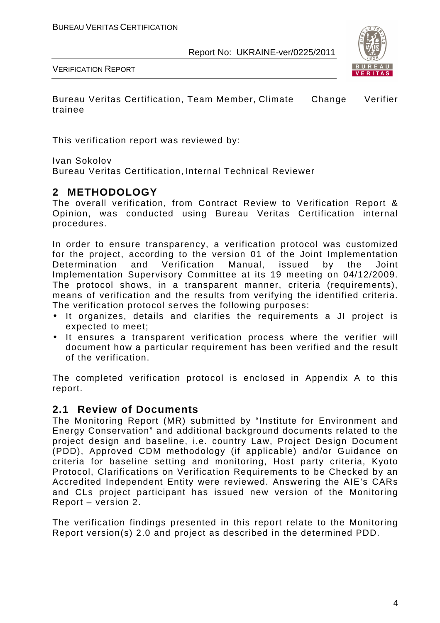

VERIFICATION REPORT

Bureau Veritas Certification, Team Member, Climate Change Verifier trainee

This verification report was reviewed by:

Ivan Sokolov

Bureau Veritas Certification, Internal Technical Reviewer

## **2 METHODOLOGY**

The overall verification, from Contract Review to Verification Report & Opinion, was conducted using Bureau Veritas Certification internal procedures.

In order to ensure transparency, a verification protocol was customized for the project, according to the version 01 of the Joint Implementation Determination and Verification Manual, issued by the Joint Implementation Supervisory Committee at its 19 meeting on 04/12/2009. The protocol shows, in a transparent manner, criteria (requirements), means of verification and the results from verifying the identified criteria. The verification protocol serves the following purposes:

- It organizes, details and clarifies the requirements a JI project is expected to meet;
- It ensures a transparent verification process where the verifier will document how a particular requirement has been verified and the result of the verification.

The completed verification protocol is enclosed in Appendix A to this report.

## **2.1 Review of Documents**

The Monitoring Report (MR) submitted by "Institute for Environment and Energy Conservation" and additional background documents related to the project design and baseline, i.e. country Law, Project Design Document (PDD), Approved CDM methodology (if applicable) and/or Guidance on criteria for baseline setting and monitoring, Host party criteria, Kyoto Protocol, Clarifications on Verification Requirements to be Checked by an Accredited Independent Entity were reviewed. Answering the AIE's CARs and CLs project participant has issued new version of the Monitoring Report – version 2.

The verification findings presented in this report relate to the Monitoring Report version(s) 2.0 and project as described in the determined PDD.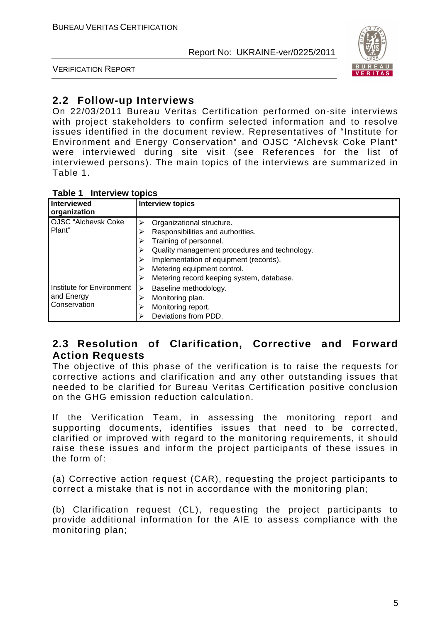

VERIFICATION REPORT

## **2.2 Follow-up Interviews**

On 22/03/2011 Bureau Veritas Certification performed on-site interviews with project stakeholders to confirm selected information and to resolve issues identified in the document review. Representatives of "Institute for Environment and Energy Conservation" and OJSC "Alchevsk Coke Plant" were interviewed during site visit (see References for the list of interviewed persons). The main topics of the interviews are summarized in Table 1.

| <b>Interview topics</b><br>Table 1 |  |
|------------------------------------|--|
|------------------------------------|--|

| Interviewed<br>organization                             | <b>Interview topics</b>                                                                                                                                                                                                                                                   |
|---------------------------------------------------------|---------------------------------------------------------------------------------------------------------------------------------------------------------------------------------------------------------------------------------------------------------------------------|
| <b>OJSC</b> "Alchevsk Coke<br>l Plant"                  | Organizational structure.<br>Responsibilities and authorities.<br>⋗<br>Training of personnel.<br>⋗<br>Quality management procedures and technology.<br>Implementation of equipment (records).<br>Metering equipment control.<br>Metering record keeping system, database. |
| Institute for Environment<br>and Energy<br>Conservation | Baseline methodology.<br>⋗<br>Monitoring plan.<br>⋗<br>Monitoring report.<br>Deviations from PDD.                                                                                                                                                                         |

## **2.3 Resolution of Clarification, Corrective and Forward Action Requests**

The objective of this phase of the verification is to raise the requests for corrective actions and clarification and any other outstanding issues that needed to be clarified for Bureau Veritas Certification positive conclusion on the GHG emission reduction calculation.

If the Verification Team, in assessing the monitoring report and supporting documents, identifies issues that need to be corrected, clarified or improved with regard to the monitoring requirements, it should raise these issues and inform the project participants of these issues in the form of:

(a) Corrective action request (CAR), requesting the project participants to correct a mistake that is not in accordance with the monitoring plan;

(b) Clarification request (CL), requesting the project participants to provide additional information for the AIE to assess compliance with the monitoring plan;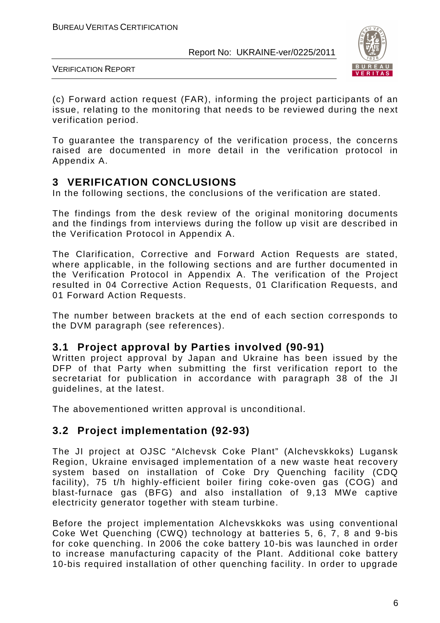

VERIFICATION REPORT

(c) Forward action request (FAR), informing the project participants of an issue, relating to the monitoring that needs to be reviewed during the next verification period.

To guarantee the transparency of the verification process, the concerns raised are documented in more detail in the verification protocol in Appendix A.

## **3 VERIFICATION CONCLUSIONS**

In the following sections, the conclusions of the verification are stated.

The findings from the desk review of the original monitoring documents and the findings from interviews during the follow up visit are described in the Verification Protocol in Appendix A.

The Clarification, Corrective and Forward Action Requests are stated, where applicable, in the following sections and are further documented in the Verification Protocol in Appendix A. The verification of the Project resulted in 04 Corrective Action Requests, 01 Clarification Requests, and 01 Forward Action Requests.

The number between brackets at the end of each section corresponds to the DVM paragraph (see references).

## **3.1 Project approval by Parties involved (90-91)**

Written project approval by Japan and Ukraine has been issued by the DFP of that Party when submitting the first verification report to the secretariat for publication in accordance with paragraph 38 of the JI guidelines, at the latest.

The abovementioned written approval is unconditional.

## **3.2 Project implementation (92-93)**

The JI project at OJSC "Alchevsk Coke Plant" (Alchevskkoks) Lugansk Region, Ukraine envisaged implementation of a new waste heat recovery system based on installation of Coke Dry Quenching facility (CDQ facility), 75 t/h highly-efficient boiler firing coke-oven gas (COG) and blast-furnace gas (BFG) and also installation of 9,13 MWe captive electricity generator together with steam turbine.

Before the project implementation Alchevskkoks was using conventional Coke Wet Quenching (CWQ) technology at batteries 5, 6, 7, 8 and 9-bis for coke quenching. In 2006 the coke battery 10-bis was launched in order to increase manufacturing capacity of the Plant. Additional coke battery 10-bis required installation of other quenching facility. In order to upgrade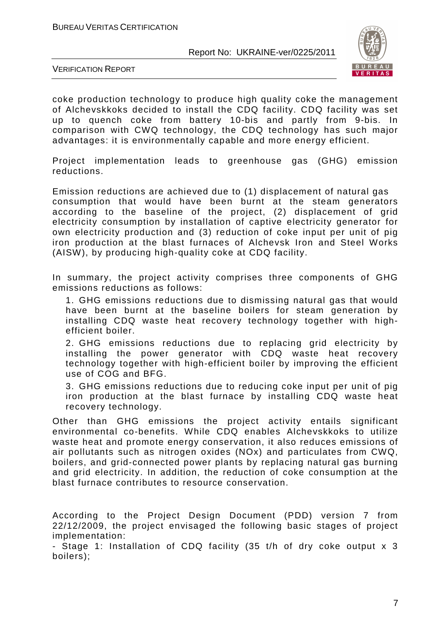

VERIFICATION REPORT

coke production technology to produce high quality coke the management of Alchevskkoks decided to install the CDQ facility. CDQ facility was set up to quench coke from battery 10-bis and partly from 9-bis. In comparison with CWQ technology, the CDQ technology has such major advantages: it is environmentally capable and more energy efficient.

Project implementation leads to greenhouse gas (GHG) emission reductions.

Emission reductions are achieved due to (1) displacement of natural gas consumption that would have been burnt at the steam generators according to the baseline of the project, (2) displacement of grid electricity consumption by installation of captive electricity generator for own electricity production and (3) reduction of coke input per unit of pig iron production at the blast furnaces of Alchevsk Iron and Steel Works (AISW), by producing high-quality coke at CDQ facility.

In summary, the project activity comprises three components of GHG emissions reductions as follows:

1. GHG emissions reductions due to dismissing natural gas that would have been burnt at the baseline boilers for steam generation by installing CDQ waste heat recovery technology together with highefficient boiler.

2. GHG emissions reductions due to replacing grid electricity by installing the power generator with CDQ waste heat recovery technology together with high-efficient boiler by improving the efficient use of COG and BFG.

3. GHG emissions reductions due to reducing coke input per unit of pig iron production at the blast furnace by installing CDQ waste heat recovery technology.

Other than GHG emissions the project activity entails significant environmental co-benefits. While CDQ enables Alchevskkoks to utilize waste heat and promote energy conservation, it also reduces emissions of air pollutants such as nitrogen oxides (NOx) and particulates from CWQ, boilers, and grid-connected power plants by replacing natural gas burning and grid electricity. In addition, the reduction of coke consumption at the blast furnace contributes to resource conservation.

According to the Project Design Document (PDD) version 7 from 22/12/2009, the project envisaged the following basic stages of project implementation:

- Stage 1: Installation of CDQ facility (35 t/h of dry coke output x 3 boilers);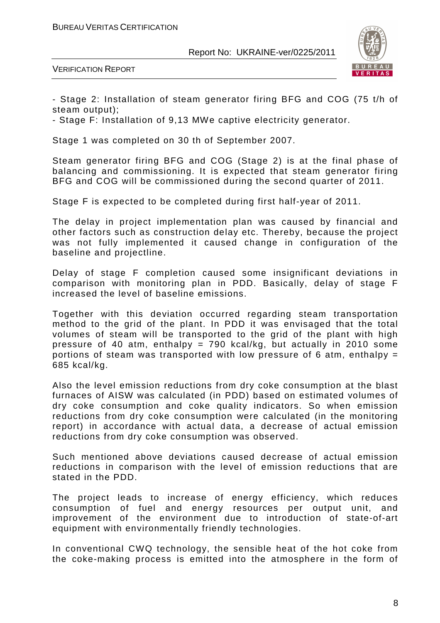

VERIFICATION REPORT

- Stage 2: Installation of steam generator firing BFG and COG (75 t/h of steam output);

- Stage F: Installation of 9,13 MWe captive electricity generator.

Stage 1 was completed on 30 th of September 2007.

Steam generator firing BFG and COG (Stage 2) is at the final phase of balancing and commissioning. It is expected that steam generator firing BFG and COG will be commissioned during the second quarter of 2011.

Stage F is expected to be completed during first half-year of 2011.

The delay in project implementation plan was caused by financial and other factors such as construction delay etc. Thereby, because the project was not fully implemented it caused change in configuration of the baseline and projectline.

Delay of stage F completion caused some insignificant deviations in comparison with monitoring plan in PDD. Basically, delay of stage F increased the level of baseline emissions.

Together with this deviation occurred regarding steam transportation method to the grid of the plant. In PDD it was envisaged that the total volumes of steam will be transported to the grid of the plant with high pressure of 40 atm, enthalpy = 790 kcal/kg, but actually in 2010 some portions of steam was transported with low pressure of 6 atm, enthalpy  $=$ 685 kcal/kg.

Also the level emission reductions from dry coke consumption at the blast furnaces of AISW was calculated (in PDD) based on estimated volumes of dry coke consumption and coke quality indicators. So when emission reductions from dry coke consumption were calculated (in the monitoring report) in accordance with actual data, a decrease of actual emission reductions from dry coke consumption was observed.

Such mentioned above deviations caused decrease of actual emission reductions in comparison with the level of emission reductions that are stated in the PDD.

The project leads to increase of energy efficiency, which reduces consumption of fuel and energy resources per output unit, and improvement of the environment due to introduction of state-of-art equipment with environmentally friendly technologies.

In conventional CWQ technology, the sensible heat of the hot coke from the coke-making process is emitted into the atmosphere in the form of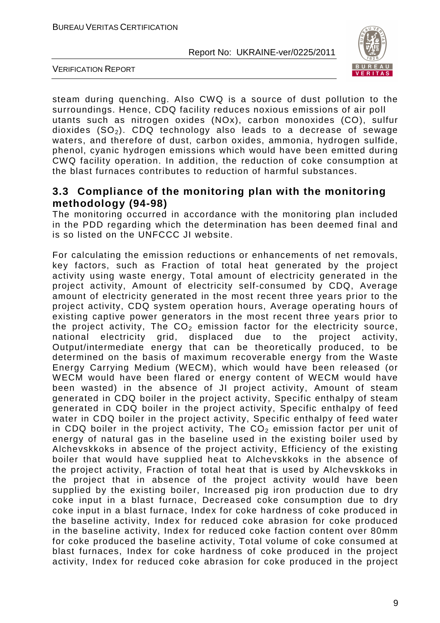

VERIFICATION REPORT

steam during quenching. Also CWQ is a source of dust pollution to the surroundings. Hence, CDQ facility reduces noxious emissions of air poll utants such as nitrogen oxides (NOx), carbon monoxides (CO), sulfur dioxides  $(SO<sub>2</sub>)$ . CDQ technology also leads to a decrease of sewage waters, and therefore of dust, carbon oxides, ammonia, hydrogen sulfide, phenol, cyanic hydrogen emissions which would have been emitted during CWQ facility operation. In addition, the reduction of coke consumption at the blast furnaces contributes to reduction of harmful substances.

## **3.3 Compliance of the monitoring plan with the monitoring methodology (94-98)**

The monitoring occurred in accordance with the monitoring plan included in the PDD regarding which the determination has been deemed final and is so listed on the UNFCCC JI website.

For calculating the emission reductions or enhancements of net removals, key factors, such as Fraction of total heat generated by the project activity using waste energy, Total amount of electricity generated in the project activity, Amount of electricity self-consumed by CDQ, Average amount of electricity generated in the most recent three years prior to the project activity, CDQ system operation hours, Average operating hours of existing captive power generators in the most recent three years prior to the project activity, The  $CO<sub>2</sub>$  emission factor for the electricity source, national electricity grid. displaced due to the project activity, national electricity grid, displaced due to the project activity, Output/intermediate energy that can be theoretically produced, to be determined on the basis of maximum recoverable energy from the Waste Energy Carrying Medium (WECM), which would have been released (or WECM would have been flared or energy content of WECM would have been wasted) in the absence of JI project activity, Amount of steam generated in CDQ boiler in the project activity, Specific enthalpy of steam generated in CDQ boiler in the project activity, Specific enthalpy of feed water in CDQ boiler in the project activity, Specific enthalpy of feed water in CDQ boiler in the project activity, The  $CO<sub>2</sub>$  emission factor per unit of energy of natural gas in the baseline used in the existing boiler used by Alchevskkoks in absence of the project activity, Efficiency of the existing boiler that would have supplied heat to Alchevskkoks in the absence of the project activity, Fraction of total heat that is used by Alchevskkoks in the project that in absence of the project activity would have been supplied by the existing boiler, Increased pig iron production due to dry coke input in a blast furnace, Decreased coke consumption due to dry coke input in a blast furnace, Index for coke hardness of coke produced in the baseline activity, Index for reduced coke abrasion for coke produced in the baseline activity, Index for reduced coke faction content over 80mm for coke produced the baseline activity, Total volume of coke consumed at blast furnaces, Index for coke hardness of coke produced in the project activity, Index for reduced coke abrasion for coke produced in the project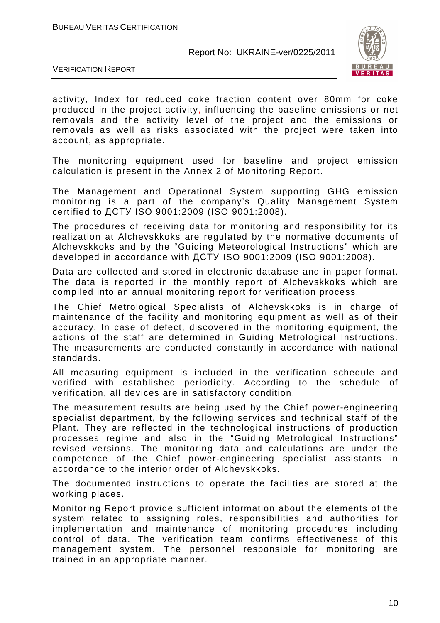

VERIFICATION REPORT

activity, Index for reduced coke fraction content over 80mm for coke produced in the project activity, influencing the baseline emissions or net removals and the activity level of the project and the emissions or removals as well as risks associated with the project were taken into account, as appropriate.

The monitoring equipment used for baseline and project emission calculation is present in the Annex 2 of Monitoring Report.

The Management and Operational System supporting GHG emission monitoring is a part of the company's Quality Management System certified to ДСТУ ISO 9001:2009 (ISO 9001:2008).

The procedures of receiving data for monitoring and responsibility for its realization at Alchevskkoks are regulated by the normative documents of Alchevskkoks and by the "Guiding Meteorological Instructions" which are developed in accordance with ДСТУ ISO 9001:2009 (ISO 9001:2008).

Data are collected and stored in electronic database and in paper format. The data is reported in the monthly report of Alchevskkoks which are compiled into an annual monitoring report for verification process.

The Chief Metrological Specialists of Alchevskkoks is in charge of maintenance of the facility and monitoring equipment as well as of their accuracy. In case of defect, discovered in the monitoring equipment, the actions of the staff are determined in Guiding Metrological Instructions. The measurements are conducted constantly in accordance with national standards.

All measuring equipment is included in the verification schedule and verified with established periodicity. According to the schedule of verification, all devices are in satisfactory condition.

The measurement results are being used by the Chief power-engineering specialist department, by the following services and technical staff of the Plant. They are reflected in the technological instructions of production processes regime and also in the "Guiding Metrological Instructions" revised versions. The monitoring data and calculations are under the competence of the Chief power-engineering specialist assistants in accordance to the interior order of Alchevskkoks.

The documented instructions to operate the facilities are stored at the working places.

Monitoring Report provide sufficient information about the elements of the system related to assigning roles, responsibilities and authorities for implementation and maintenance of monitoring procedures including control of data. The verification team confirms effectiveness of this management system. The personnel responsible for monitoring are trained in an appropriate manner.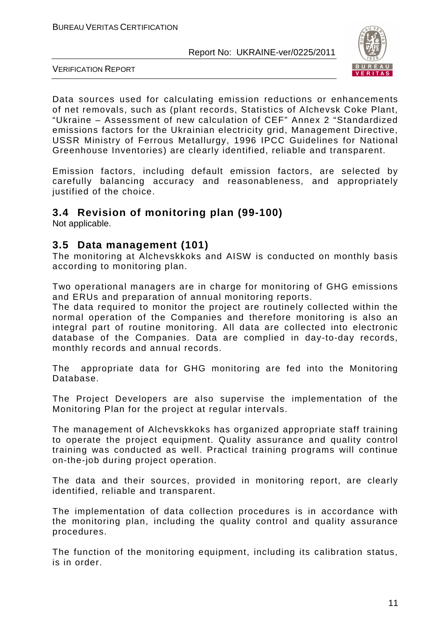

VERIFICATION REPORT

Data sources used for calculating emission reductions or enhancements of net removals, such as (plant records, Statistics of Alchevsk Coke Plant, "Ukraine – Assessment of new calculation of CEF" Annex 2 "Standardized emissions factors for the Ukrainian electricity grid, Management Directive, USSR Ministry of Ferrous Metallurgy, 1996 IPCC Guidelines for National Greenhouse Inventories) are clearly identified, reliable and transparent.

Emission factors, including default emission factors, are selected by carefully balancing accuracy and reasonableness, and appropriately justified of the choice.

## **3.4 Revision of monitoring plan (99-100)**

Not applicable.

## **3.5 Data management (101)**

The monitoring at Alchevskkoks and AISW is conducted on monthly basis according to monitoring plan.

Two operational managers are in charge for monitoring of GHG emissions and ERUs and preparation of annual monitoring reports.

The data required to monitor the project are routinely collected within the normal operation of the Companies and therefore monitoring is also an integral part of routine monitoring. All data are collected into electronic database of the Companies. Data are complied in day-to-day records, monthly records and annual records.

The appropriate data for GHG monitoring are fed into the Monitoring Database.

The Project Developers are also supervise the implementation of the Monitoring Plan for the project at regular intervals.

The management of Alchevskkoks has organized appropriate staff training to operate the project equipment. Quality assurance and quality control training was conducted as well. Practical training programs will continue on-the-job during project operation.

The data and their sources, provided in monitoring report, are clearly identified, reliable and transparent.

The implementation of data collection procedures is in accordance with the monitoring plan, including the quality control and quality assurance procedures.

The function of the monitoring equipment, including its calibration status, is in order.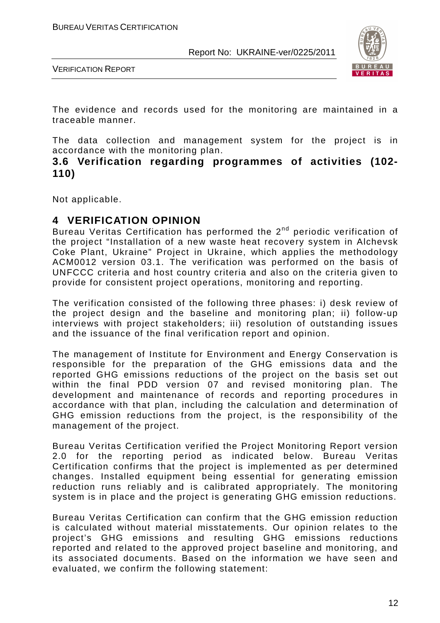

VERIFICATION REPORT

The evidence and records used for the monitoring are maintained in a traceable manner.

The data collection and management system for the project is in accordance with the monitoring plan.

**3.6 Verification regarding programmes of activities (102- 110)** 

Not applicable.

## **4 VERIFICATION OPINION**

Bureau Veritas Certification has performed the 2<sup>nd</sup> periodic verification of the project "Installation of a new waste heat recovery system in Alchevsk Coke Plant, Ukraine" Project in Ukraine, which applies the methodology ACM0012 version 03.1. The verification was performed on the basis of UNFCCC criteria and host country criteria and also on the criteria given to provide for consistent project operations, monitoring and reporting.

The verification consisted of the following three phases: i) desk review of the project design and the baseline and monitoring plan; ii) follow-up interviews with project stakeholders; iii) resolution of outstanding issues and the issuance of the final verification report and opinion.

The management of Institute for Environment and Energy Conservation is responsible for the preparation of the GHG emissions data and the reported GHG emissions reductions of the project on the basis set out within the final PDD version 07 and revised monitoring plan. The development and maintenance of records and reporting procedures in accordance with that plan, including the calculation and determination of GHG emission reductions from the project, is the responsibility of the management of the project.

Bureau Veritas Certification verified the Project Monitoring Report version 2.0 for the reporting period as indicated below. Bureau Veritas Certification confirms that the project is implemented as per determined changes. Installed equipment being essential for generating emission reduction runs reliably and is calibrated appropriately. The monitoring system is in place and the project is generating GHG emission reductions.

Bureau Veritas Certification can confirm that the GHG emission reduction is calculated without material misstatements. Our opinion relates to the project's GHG emissions and resulting GHG emissions reductions reported and related to the approved project baseline and monitoring, and its associated documents. Based on the information we have seen and evaluated, we confirm the following statement: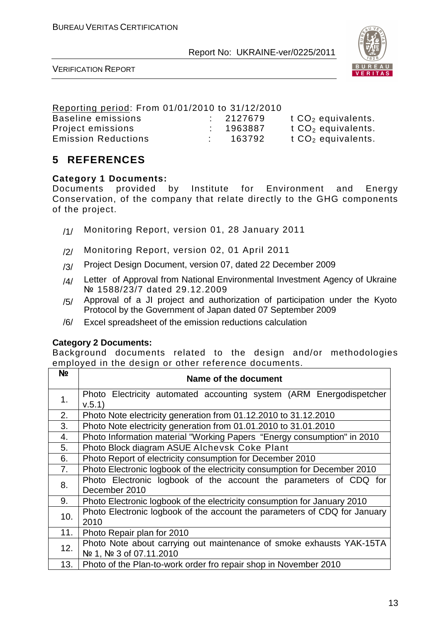

VERIFICATION REPORT

| Reporting period: From 01/01/2010 to 31/12/2010 |           |                      |
|-------------------------------------------------|-----------|----------------------|
| Baseline emissions                              | : 2127679 | t $CO2$ equivalents. |
| Project emissions                               | : 1963887 | t $CO2$ equivalents. |
| <b>Emission Reductions</b>                      | 163792    | t $CO2$ equivalents. |

## **5 REFERENCES**

#### **Category 1 Documents:**

Documents provided by Institute for Environment and Energy Conservation, of the company that relate directly to the GHG components of the project.

- /1/ Monitoring Report, version 01, 28 January 2011
- /2/ Monitoring Report, version 02, 01 April 2011
- /3/ Project Design Document, version 07, dated 22 December 2009
- /4/ Letter of Approval from National Environmental Investment Agency of Ukraine № 1588/23/7 dated 29.12.2009
- /5/ Approval of a JI project and authorization of participation under the Kyoto Protocol by the Government of Japan dated 07 September 2009
- /6/ Excel spreadsheet of the emission reductions calculation

#### **Category 2 Documents:**

Background documents related to the design and/or methodologies employed in the design or other reference documents.

| N <sub>2</sub> | Name of the document                                                                             |
|----------------|--------------------------------------------------------------------------------------------------|
| 1 <sub>1</sub> | Photo Electricity automated accounting system (ARM Energodispetcher<br>V.5.1)                    |
| 2.             | Photo Note electricity generation from 01.12.2010 to 31.12.2010                                  |
| 3.             | Photo Note electricity generation from 01.01.2010 to 31.01.2010                                  |
| 4.             | Photo Information material "Working Papers "Energy consumption" in 2010                          |
| 5.             | Photo Block diagram ASUE Alchevsk Coke Plant                                                     |
| 6.             | Photo Report of electricity consumption for December 2010                                        |
| 7.             | Photo Electronic logbook of the electricity consumption for December 2010                        |
| 8.             | Photo Electronic logbook of the account the parameters of CDQ for<br>December 2010               |
| 9.             | Photo Electronic logbook of the electricity consumption for January 2010                         |
| 10.            | Photo Electronic logbook of the account the parameters of CDQ for January<br>2010                |
| 11.            | Photo Repair plan for 2010                                                                       |
| 12.            | Photo Note about carrying out maintenance of smoke exhausts YAK-15TA<br>Nº 1, Nº 3 of 07.11.2010 |
| 13.            | Photo of the Plan-to-work order fro repair shop in November 2010                                 |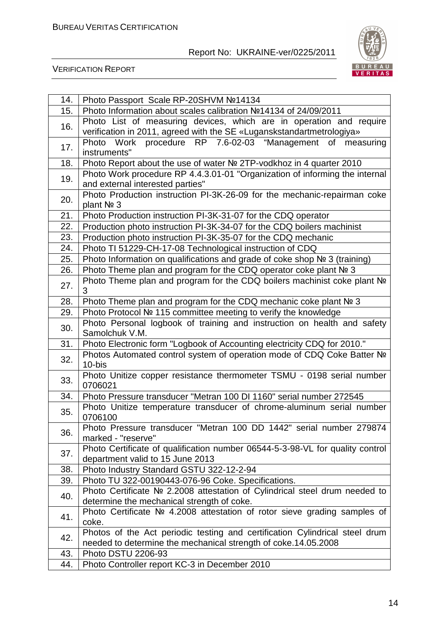

| 14. | Photo Passport Scale RP-20SHVM №14134                                                                             |
|-----|-------------------------------------------------------------------------------------------------------------------|
| 15. | Photo Information about scales calibration №14134 of 24/09/2011                                                   |
| 16. | Photo List of measuring devices, which are in operation and require                                               |
|     | verification in 2011, agreed with the SE «Luganskstandartmetrologiya»                                             |
| 17. | Work procedure RP 7.6-02-03 "Management of<br>Photo<br>measuring                                                  |
|     | instruments"                                                                                                      |
| 18. | Photo Report about the use of water № 2TP-vodkhoz in 4 quarter 2010                                               |
| 19. | Photo Work procedure RP 4.4.3.01-01 "Organization of informing the internal<br>and external interested parties"   |
| 20. | Photo Production instruction PI-3K-26-09 for the mechanic-repairman coke<br>plant Nº 3                            |
| 21. | Photo Production instruction PI-3K-31-07 for the CDQ operator                                                     |
| 22. | Production photo instruction PI-3K-34-07 for the CDQ boilers machinist                                            |
| 23. | Production photo instruction PI-3K-35-07 for the CDQ mechanic                                                     |
| 24. | Photo TI 51229-CH-17-08 Technological instruction of CDQ                                                          |
| 25. | Photo Information on qualifications and grade of coke shop № 3 (training)                                         |
| 26. | Photo Theme plan and program for the CDQ operator coke plant № 3                                                  |
| 27. | Photo Theme plan and program for the CDQ boilers machinist coke plant Nº<br>3                                     |
| 28. | Photo Theme plan and program for the CDQ mechanic coke plant № 3                                                  |
| 29. | Photo Protocol № 115 committee meeting to verify the knowledge                                                    |
| 30. | Photo Personal logbook of training and instruction on health and safety<br>Samolchuk V.M.                         |
| 31. | Photo Electronic form "Logbook of Accounting electricity CDQ for 2010."                                           |
| 32. | Photos Automated control system of operation mode of CDQ Coke Batter Nº<br>10-bis                                 |
| 33. | Photo Unitize copper resistance thermometer TSMU - 0198 serial number<br>0706021                                  |
| 34. | Photo Pressure transducer "Metran 100 DI 1160" serial number 272545                                               |
| 35. | Photo Unitize temperature transducer of chrome-aluminum serial number<br>0706100                                  |
| 36. | Photo Pressure transducer "Metran 100 DD 1442" serial number 279874<br>marked - "reserve"                         |
| 37. | Photo Certificate of qualification number 06544-5-3-98-VL for quality control<br>department valid to 15 June 2013 |
| 38. | Photo Industry Standard GSTU 322-12-2-94                                                                          |
| 39. | Photo TU 322-00190443-076-96 Coke. Specifications.                                                                |
|     | Photo Certificate № 2.2008 attestation of Cylindrical steel drum needed to                                        |
| 40. | determine the mechanical strength of coke.                                                                        |
| 41. | Photo Certificate № 4.2008 attestation of rotor sieve grading samples of<br>coke.                                 |
|     | Photos of the Act periodic testing and certification Cylindrical steel drum                                       |
| 42. | needed to determine the mechanical strength of coke.14.05.2008                                                    |
| 43. | Photo DSTU 2206-93                                                                                                |
| 44. | Photo Controller report KC-3 in December 2010                                                                     |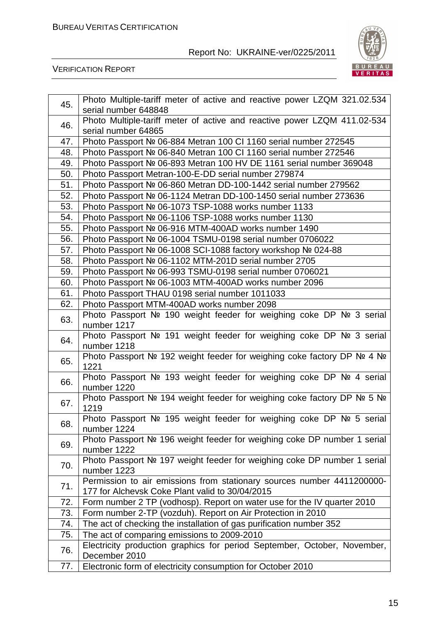

| 45. | Photo Multiple-tariff meter of active and reactive power LZQM 321.02.534<br>serial number 648848 |
|-----|--------------------------------------------------------------------------------------------------|
|     | Photo Multiple-tariff meter of active and reactive power LZQM 411.02-534                         |
| 46. | serial number 64865                                                                              |
| 47. | Photo Passport № 06-884 Metran 100 CI 1160 serial number 272545                                  |
| 48. | Photo Passport № 06-840 Metran 100 CI 1160 serial number 272546                                  |
| 49. | Photo Passport № 06-893 Metran 100 HV DE 1161 serial number 369048                               |
| 50. | Photo Passport Metran-100-E-DD serial number 279874                                              |
| 51. | Photo Passport № 06-860 Metran DD-100-1442 serial number 279562                                  |
| 52. | Photo Passport № 06-1124 Metran DD-100-1450 serial number 273636                                 |
| 53. | Photo Passport Nº 06-1073 TSP-1088 works number 1133                                             |
| 54. | Photo Passport № 06-1106 TSP-1088 works number 1130                                              |
| 55. | Photo Passport № 06-916 MTM-400AD works number 1490                                              |
| 56. | Photo Passport № 06-1004 TSMU-0198 serial number 0706022                                         |
| 57. | Photo Passport № 06-1008 SCI-1088 factory workshop № 024-88                                      |
| 58. | Photo Passport № 06-1102 MTM-201D serial number 2705                                             |
| 59. | Photo Passport № 06-993 TSMU-0198 serial number 0706021                                          |
| 60. | Photo Passport № 06-1003 MTM-400AD works number 2096                                             |
| 61. | Photo Passport THAU 0198 serial number 1011033                                                   |
| 62. | Photo Passport MTM-400AD works number 2098                                                       |
| 63. | Photo Passport Nº 190 weight feeder for weighing coke DP Nº 3 serial<br>number 1217              |
| 64. | Photo Passport Nº 191 weight feeder for weighing coke DP Nº 3 serial<br>number 1218              |
| 65. | Photo Passport № 192 weight feeder for weighing coke factory DP Nº 4 Nº<br>1221                  |
| 66. | Photo Passport Nº 193 weight feeder for weighing coke DP Nº 4 serial<br>number 1220              |
| 67. | Photo Passport № 194 weight feeder for weighing coke factory DP Nº 5 Nº<br>1219                  |
| 68. | Photo Passport Nº 195 weight feeder for weighing coke DP Nº 5 serial<br>number 1224              |
| 69. | Photo Passport № 196 weight feeder for weighing coke DP number 1 serial<br>number 1222           |
| 70. | Photo Passport № 197 weight feeder for weighing coke DP number 1 serial<br>number 1223           |
|     | Permission to air emissions from stationary sources number 4411200000-                           |
| 71. | 177 for Alchevsk Coke Plant valid to 30/04/2015                                                  |
| 72. | Form number 2 TP (vodhosp). Report on water use for the IV quarter 2010                          |
| 73. | Form number 2-TP (vozduh). Report on Air Protection in 2010                                      |
| 74. | The act of checking the installation of gas purification number 352                              |
| 75. | The act of comparing emissions to 2009-2010                                                      |
| 76. | Electricity production graphics for period September, October, November,<br>December 2010        |
| 77. | Electronic form of electricity consumption for October 2010                                      |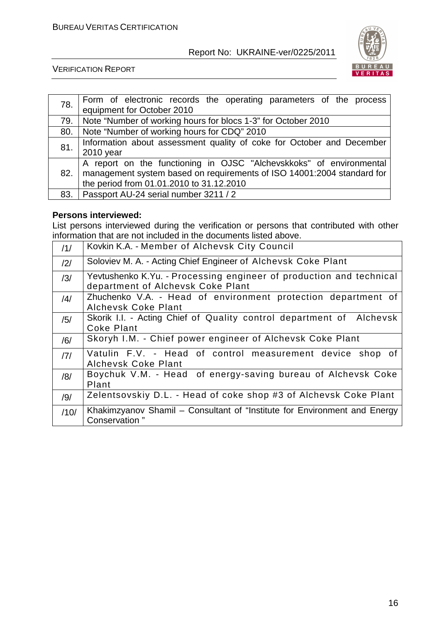

VERIFICATION REPORT

| 78. | Form of electronic records the operating parameters of the process<br>equipment for October 2010 |
|-----|--------------------------------------------------------------------------------------------------|
|     |                                                                                                  |
| 79. | Note "Number of working hours for blocs 1-3" for October 2010                                    |
| 80. | Note "Number of working hours for CDQ" 2010                                                      |
| 81. | Information about assessment quality of coke for October and December                            |
|     | 2010 year                                                                                        |
|     | A report on the functioning in OJSC "Alchevskkoks" of environmental                              |
| 82. | management system based on requirements of ISO 14001:2004 standard for                           |
|     | the period from 01.01.2010 to 31.12.2010                                                         |
| 83. | Passport AU-24 serial number 3211 / 2                                                            |

#### **Persons interviewed:**

List persons interviewed during the verification or persons that contributed with other information that are not included in the documents listed above.

| /1/            | Kovkin K.A. - Member of Alchevsk City Council                                                            |
|----------------|----------------------------------------------------------------------------------------------------------|
| $\frac{12}{1}$ | Soloviev M. A. - Acting Chief Engineer of Alchevsk Coke Plant                                            |
| /3/            | Yevtushenko K.Yu. - Processing engineer of production and technical<br>department of Alchevsk Coke Plant |
| $\frac{14}{3}$ | Zhuchenko V.A. - Head of environment protection department of<br>Alchevsk Coke Plant                     |
| /5/            | Skorik I.I. - Acting Chief of Quality control department of Alchevsk<br>Coke Plant                       |
| /6/            | Skoryh I.M. - Chief power engineer of Alchevsk Coke Plant                                                |
| 7              | Vatulin F.V. - Head of control measurement device shop of<br>Alchevsk Coke Plant                         |
| /8/            | Boychuk V.M. - Head of energy-saving bureau of Alchevsk Coke<br>Plant                                    |
| /9/            | Zelentsovskiy D.L. - Head of coke shop #3 of Alchevsk Coke Plant                                         |
| /10/           | Khakimzyanov Shamil – Consultant of "Institute for Environment and Energy<br>Conservation"               |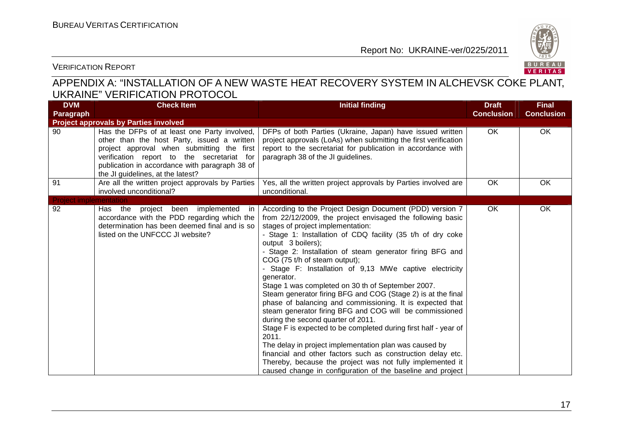

#### VERIFICATION REPORT

## APPENDIX A: "INSTALLATION OF A NEW WASTE HEAT RECOVERY SYSTEM IN ALCHEVSK COKE PLANT, UKRAINE" VERIFICATION PROTOCOL

| <b>DVM</b>                    | <b>Check Item</b>                                                                                                                                                                                                                                                              | <b>Initial finding</b>                                                                                                                                                                                                                                                                                                                                                                                                                                                                                                                                                                                                                                                                                                                                                                                                                                                                                                                                                                                                                     | <b>Draft</b>      | <b>Final</b>      |
|-------------------------------|--------------------------------------------------------------------------------------------------------------------------------------------------------------------------------------------------------------------------------------------------------------------------------|--------------------------------------------------------------------------------------------------------------------------------------------------------------------------------------------------------------------------------------------------------------------------------------------------------------------------------------------------------------------------------------------------------------------------------------------------------------------------------------------------------------------------------------------------------------------------------------------------------------------------------------------------------------------------------------------------------------------------------------------------------------------------------------------------------------------------------------------------------------------------------------------------------------------------------------------------------------------------------------------------------------------------------------------|-------------------|-------------------|
| Paragraph                     |                                                                                                                                                                                                                                                                                |                                                                                                                                                                                                                                                                                                                                                                                                                                                                                                                                                                                                                                                                                                                                                                                                                                                                                                                                                                                                                                            | <b>Conclusion</b> | <b>Conclusion</b> |
|                               | <b>Project approvals by Parties involved</b>                                                                                                                                                                                                                                   |                                                                                                                                                                                                                                                                                                                                                                                                                                                                                                                                                                                                                                                                                                                                                                                                                                                                                                                                                                                                                                            |                   |                   |
| 90                            | Has the DFPs of at least one Party involved,<br>other than the host Party, issued a written<br>project approval when submitting the first<br>verification report to the secretariat for<br>publication in accordance with paragraph 38 of<br>the JI guidelines, at the latest? | DFPs of both Parties (Ukraine, Japan) have issued written<br>project approvals (LoAs) when submitting the first verification<br>report to the secretariat for publication in accordance with<br>paragraph 38 of the JI guidelines.                                                                                                                                                                                                                                                                                                                                                                                                                                                                                                                                                                                                                                                                                                                                                                                                         | OK                | OK                |
| 91                            | Are all the written project approvals by Parties<br>involved unconditional?                                                                                                                                                                                                    | Yes, all the written project approvals by Parties involved are<br>unconditional.                                                                                                                                                                                                                                                                                                                                                                                                                                                                                                                                                                                                                                                                                                                                                                                                                                                                                                                                                           | OK                | OK                |
| <b>Project implementation</b> |                                                                                                                                                                                                                                                                                |                                                                                                                                                                                                                                                                                                                                                                                                                                                                                                                                                                                                                                                                                                                                                                                                                                                                                                                                                                                                                                            |                   |                   |
| 92                            | project been implemented<br>Has the<br>in.<br>accordance with the PDD regarding which the<br>determination has been deemed final and is so<br>listed on the UNFCCC JI website?                                                                                                 | According to the Project Design Document (PDD) version 7<br>from 22/12/2009, the project envisaged the following basic<br>stages of project implementation:<br>- Stage 1: Installation of CDQ facility (35 t/h of dry coke<br>output 3 boilers);<br>- Stage 2: Installation of steam generator firing BFG and<br>COG (75 t/h of steam output);<br>- Stage F: Installation of 9,13 MWe captive electricity<br>generator.<br>Stage 1 was completed on 30 th of September 2007.<br>Steam generator firing BFG and COG (Stage 2) is at the final<br>phase of balancing and commissioning. It is expected that<br>steam generator firing BFG and COG will be commissioned<br>during the second quarter of 2011.<br>Stage F is expected to be completed during first half - year of<br>2011.<br>The delay in project implementation plan was caused by<br>financial and other factors such as construction delay etc.<br>Thereby, because the project was not fully implemented it<br>caused change in configuration of the baseline and project | OK                | OK                |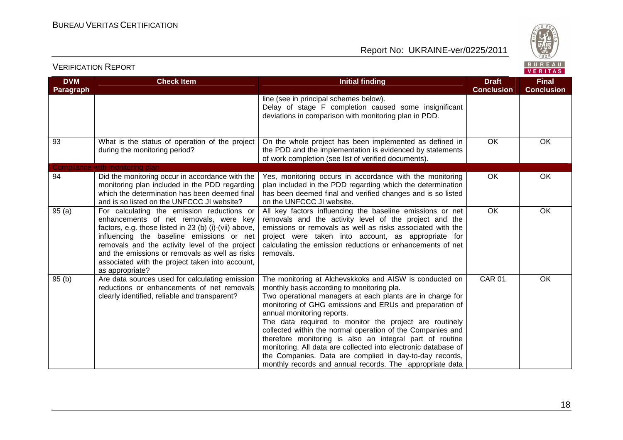

| <b>DVM</b><br><b>Paragraph</b> | <b>Check Item</b>                                                                                                                                                                                                                                                                                                                                                    | <b>Initial finding</b>                                                                                                                                                                                                                                                                                                                                                                                                                                                                                                                                                                                                                   | <b>Draft</b><br><b>Conclusion</b> | <b>Final</b><br><b>Conclusion</b> |
|--------------------------------|----------------------------------------------------------------------------------------------------------------------------------------------------------------------------------------------------------------------------------------------------------------------------------------------------------------------------------------------------------------------|------------------------------------------------------------------------------------------------------------------------------------------------------------------------------------------------------------------------------------------------------------------------------------------------------------------------------------------------------------------------------------------------------------------------------------------------------------------------------------------------------------------------------------------------------------------------------------------------------------------------------------------|-----------------------------------|-----------------------------------|
|                                |                                                                                                                                                                                                                                                                                                                                                                      | line (see in principal schemes below).<br>Delay of stage F completion caused some insignificant<br>deviations in comparison with monitoring plan in PDD.                                                                                                                                                                                                                                                                                                                                                                                                                                                                                 |                                   |                                   |
| 93                             | What is the status of operation of the project<br>during the monitoring period?                                                                                                                                                                                                                                                                                      | On the whole project has been implemented as defined in<br>the PDD and the implementation is evidenced by statements<br>of work completion (see list of verified documents).                                                                                                                                                                                                                                                                                                                                                                                                                                                             | OK                                | OK                                |
|                                | Compliance with monitoring plan                                                                                                                                                                                                                                                                                                                                      |                                                                                                                                                                                                                                                                                                                                                                                                                                                                                                                                                                                                                                          |                                   |                                   |
| 94                             | Did the monitoring occur in accordance with the<br>monitoring plan included in the PDD regarding<br>which the determination has been deemed final<br>and is so listed on the UNFCCC JI website?                                                                                                                                                                      | Yes, monitoring occurs in accordance with the monitoring<br>plan included in the PDD regarding which the determination<br>has been deemed final and verified changes and is so listed<br>on the UNFCCC JI website.                                                                                                                                                                                                                                                                                                                                                                                                                       | OK                                | OK                                |
| 95(a)                          | For calculating the emission reductions or<br>enhancements of net removals, were key<br>factors, e.g. those listed in 23 (b) (i)-(vii) above,<br>influencing the baseline emissions or net<br>removals and the activity level of the project<br>and the emissions or removals as well as risks<br>associated with the project taken into account,<br>as appropriate? | All key factors influencing the baseline emissions or net<br>removals and the activity level of the project and the<br>emissions or removals as well as risks associated with the<br>project were taken into account, as appropriate for<br>calculating the emission reductions or enhancements of net<br>removals.                                                                                                                                                                                                                                                                                                                      | OK                                | OK                                |
| 95(b)                          | Are data sources used for calculating emission<br>reductions or enhancements of net removals<br>clearly identified, reliable and transparent?                                                                                                                                                                                                                        | The monitoring at Alchevskkoks and AISW is conducted on<br>monthly basis according to monitoring pla.<br>Two operational managers at each plants are in charge for<br>monitoring of GHG emissions and ERUs and preparation of<br>annual monitoring reports.<br>The data required to monitor the project are routinely<br>collected within the normal operation of the Companies and<br>therefore monitoring is also an integral part of routine<br>monitoring. All data are collected into electronic database of<br>the Companies. Data are complied in day-to-day records,<br>monthly records and annual records. The appropriate data | <b>CAR 01</b>                     | OK                                |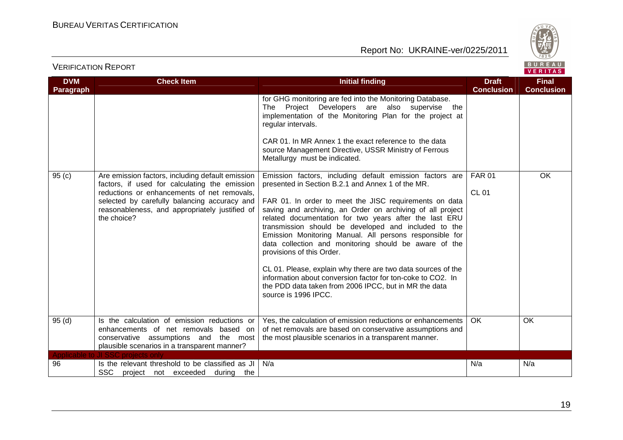

| <b>VERIFICATION REPORT</b> |  |
|----------------------------|--|
|                            |  |

| <b>DVM</b><br>Paragraph | <b>Check Item</b>                                                                                                                                                                                                                                                 | Initial finding                                                                                                                                                                                                                                                                                                                                                                                                                                                                                                                                                                                                                                                                                                          | <b>Draft</b><br><b>Conclusion</b> | <b>Final</b><br><b>Conclusion</b> |
|-------------------------|-------------------------------------------------------------------------------------------------------------------------------------------------------------------------------------------------------------------------------------------------------------------|--------------------------------------------------------------------------------------------------------------------------------------------------------------------------------------------------------------------------------------------------------------------------------------------------------------------------------------------------------------------------------------------------------------------------------------------------------------------------------------------------------------------------------------------------------------------------------------------------------------------------------------------------------------------------------------------------------------------------|-----------------------------------|-----------------------------------|
|                         |                                                                                                                                                                                                                                                                   | for GHG monitoring are fed into the Monitoring Database.<br>The Project Developers are also supervise the<br>implementation of the Monitoring Plan for the project at<br>regular intervals.<br>CAR 01. In MR Annex 1 the exact reference to the data<br>source Management Directive, USSR Ministry of Ferrous<br>Metallurgy must be indicated.                                                                                                                                                                                                                                                                                                                                                                           |                                   |                                   |
| 95(c)                   | Are emission factors, including default emission<br>factors, if used for calculating the emission<br>reductions or enhancements of net removals,<br>selected by carefully balancing accuracy and<br>reasonableness, and appropriately justified of<br>the choice? | Emission factors, including default emission factors are<br>presented in Section B.2.1 and Annex 1 of the MR.<br>FAR 01. In order to meet the JISC requirements on data<br>saving and archiving, an Order on archiving of all project<br>related documentation for two years after the last ERU<br>transmission should be developed and included to the<br>Emission Monitoring Manual. All persons responsible for<br>data collection and monitoring should be aware of the<br>provisions of this Order.<br>CL 01. Please, explain why there are two data sources of the<br>information about conversion factor for ton-coke to CO2. In<br>the PDD data taken from 2006 IPCC, but in MR the data<br>source is 1996 IPCC. | <b>FAR 01</b><br><b>CL 01</b>     | OK                                |
| 95(d)                   | Is the calculation of emission reductions or<br>enhancements of net removals based on<br>conservative assumptions and the most<br>plausible scenarios in a transparent manner?                                                                                    | Yes, the calculation of emission reductions or enhancements<br>of net removals are based on conservative assumptions and<br>the most plausible scenarios in a transparent manner.                                                                                                                                                                                                                                                                                                                                                                                                                                                                                                                                        | OK.                               | <b>OK</b>                         |
| Applicable to<br>96     | <b>JI SSC projects only</b><br>Is the relevant threshold to be classified as JI<br>SSC.<br>project not exceeded during the                                                                                                                                        | N/a                                                                                                                                                                                                                                                                                                                                                                                                                                                                                                                                                                                                                                                                                                                      | N/a                               | N/a                               |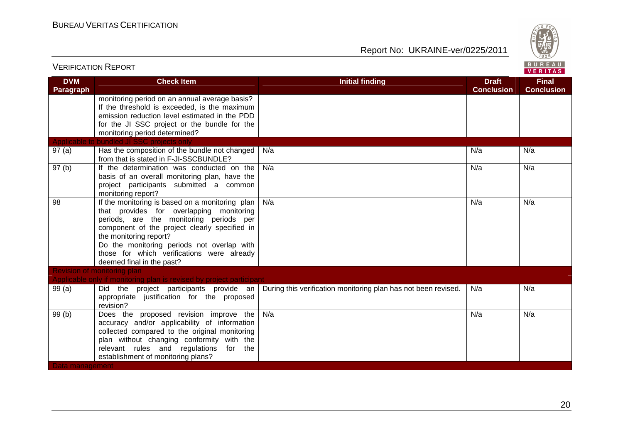

| <b>VERIFICATION REPORT</b>     |                                                                                                                                                                                                                                                                                                                                            |                                                                | BUREAU<br><b>VERITAS</b>          |                                   |
|--------------------------------|--------------------------------------------------------------------------------------------------------------------------------------------------------------------------------------------------------------------------------------------------------------------------------------------------------------------------------------------|----------------------------------------------------------------|-----------------------------------|-----------------------------------|
| <b>DVM</b><br><b>Paragraph</b> | <b>Check Item</b>                                                                                                                                                                                                                                                                                                                          | <b>Initial finding</b>                                         | <b>Draft</b><br><b>Conclusion</b> | <b>Final</b><br><b>Conclusion</b> |
|                                | monitoring period on an annual average basis?<br>If the threshold is exceeded, is the maximum<br>emission reduction level estimated in the PDD<br>for the JI SSC project or the bundle for the<br>monitoring period determined?                                                                                                            |                                                                |                                   |                                   |
|                                | Applicable to bundled JI SSC projects only                                                                                                                                                                                                                                                                                                 |                                                                |                                   |                                   |
| 97(a)                          | Has the composition of the bundle not changed<br>from that is stated in F-JI-SSCBUNDLE?                                                                                                                                                                                                                                                    | N/a                                                            | N/a                               | N/a                               |
| 97(b)                          | If the determination was conducted on the<br>basis of an overall monitoring plan, have the<br>project participants submitted a common<br>monitoring report?                                                                                                                                                                                | N/a                                                            | N/a                               | N/a                               |
| 98                             | If the monitoring is based on a monitoring plan<br>that provides for overlapping monitoring<br>periods, are the monitoring periods per<br>component of the project clearly specified in<br>the monitoring report?<br>Do the monitoring periods not overlap with<br>those for which verifications were already<br>deemed final in the past? | N/a                                                            | N/a                               | N/a                               |
|                                | <b>Revision of monitoring plan</b>                                                                                                                                                                                                                                                                                                         |                                                                |                                   |                                   |
|                                | Applicable only if monitoring plan is revised by project participant                                                                                                                                                                                                                                                                       |                                                                |                                   |                                   |
| 99(a)                          | Did the project participants provide an<br>appropriate justification for the proposed<br>revision?                                                                                                                                                                                                                                         | During this verification monitoring plan has not been revised. | N/a                               | N/a                               |
| 99(b)                          | Does the proposed revision improve the<br>accuracy and/or applicability of information<br>collected compared to the original monitoring<br>plan without changing conformity with the<br>relevant rules and regulations for the<br>establishment of monitoring plans?                                                                       | N/a                                                            | N/a                               | N/a                               |
| Data management                |                                                                                                                                                                                                                                                                                                                                            |                                                                |                                   |                                   |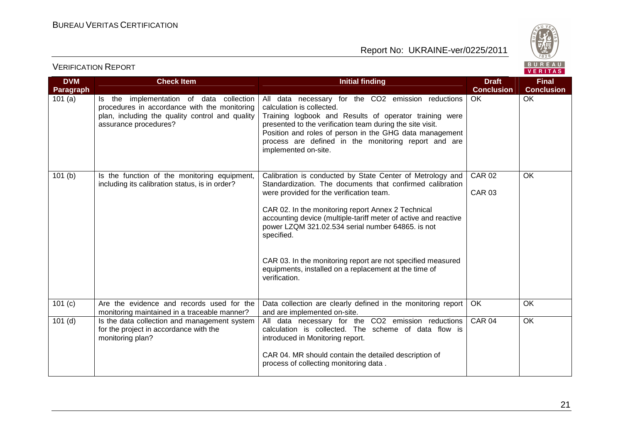



| <b>DVM</b> | <b>Check Item</b>                                                                                                                                                    | <b>Initial finding</b>                                                                                                                                                                                                                                                                                                                                         | <b>Draft</b>                   | <b>Final</b>      |  |
|------------|----------------------------------------------------------------------------------------------------------------------------------------------------------------------|----------------------------------------------------------------------------------------------------------------------------------------------------------------------------------------------------------------------------------------------------------------------------------------------------------------------------------------------------------------|--------------------------------|-------------------|--|
| Paragraph  |                                                                                                                                                                      |                                                                                                                                                                                                                                                                                                                                                                | <b>Conclusion</b>              | <b>Conclusion</b> |  |
| 101(a)     | Is the implementation of data collection<br>procedures in accordance with the monitoring<br>plan, including the quality control and quality<br>assurance procedures? | All data necessary for the CO2 emission reductions<br>calculation is collected.<br>Training logbook and Results of operator training were<br>presented to the verification team during the site visit.<br>Position and roles of person in the GHG data management<br>process are defined in the monitoring report and are<br>implemented on-site.              | OK.                            | OK                |  |
| 101(b)     | Is the function of the monitoring equipment,<br>including its calibration status, is in order?                                                                       | Calibration is conducted by State Center of Metrology and<br>Standardization. The documents that confirmed calibration<br>were provided for the verification team.<br>CAR 02. In the monitoring report Annex 2 Technical<br>accounting device (multiple-tariff meter of active and reactive<br>power LZQM 321.02.534 serial number 64865. is not<br>specified. | <b>CAR 02</b><br><b>CAR 03</b> | OK                |  |
|            |                                                                                                                                                                      | CAR 03. In the monitoring report are not specified measured<br>equipments, installed on a replacement at the time of<br>verification.                                                                                                                                                                                                                          |                                |                   |  |
| 101(c)     | Are the evidence and records used for the<br>monitoring maintained in a traceable manner?                                                                            | Data collection are clearly defined in the monitoring report<br>and are implemented on-site.                                                                                                                                                                                                                                                                   | OK                             | OK                |  |
| $101$ (d)  | Is the data collection and management system<br>for the project in accordance with the<br>monitoring plan?                                                           | All data necessary for the CO2 emission reductions<br>calculation is collected. The scheme of data flow is<br>introduced in Monitoring report.<br>CAR 04. MR should contain the detailed description of<br>process of collecting monitoring data.                                                                                                              | <b>CAR 04</b>                  | OK                |  |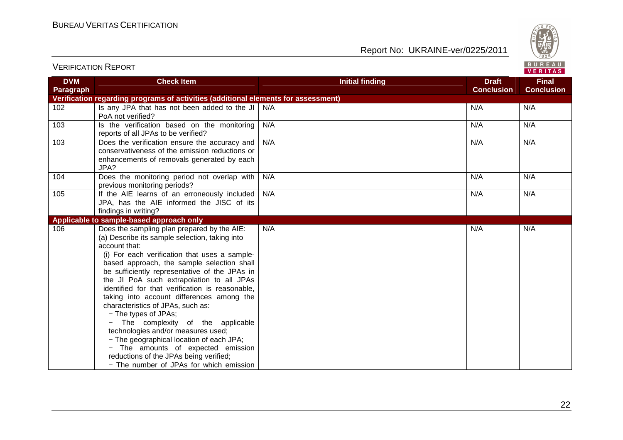

|                         |                                                                                                                                                                                                                                                                                                                                                                                                                                                                                                                                                                                                                                                                                                                           |                        |                                   | . <i>.</i> .                      |
|-------------------------|---------------------------------------------------------------------------------------------------------------------------------------------------------------------------------------------------------------------------------------------------------------------------------------------------------------------------------------------------------------------------------------------------------------------------------------------------------------------------------------------------------------------------------------------------------------------------------------------------------------------------------------------------------------------------------------------------------------------------|------------------------|-----------------------------------|-----------------------------------|
| <b>DVM</b><br>Paragraph | <b>Check Item</b>                                                                                                                                                                                                                                                                                                                                                                                                                                                                                                                                                                                                                                                                                                         | <b>Initial finding</b> | <b>Draft</b><br><b>Conclusion</b> | <b>Final</b><br><b>Conclusion</b> |
|                         | Verification regarding programs of activities (additional elements for assessment)                                                                                                                                                                                                                                                                                                                                                                                                                                                                                                                                                                                                                                        |                        |                                   |                                   |
| 102                     | Is any JPA that has not been added to the JI<br>PoA not verified?                                                                                                                                                                                                                                                                                                                                                                                                                                                                                                                                                                                                                                                         | N/A                    | N/A                               | N/A                               |
| 103                     | Is the verification based on the monitoring<br>reports of all JPAs to be verified?                                                                                                                                                                                                                                                                                                                                                                                                                                                                                                                                                                                                                                        | N/A                    | N/A                               | N/A                               |
| 103                     | Does the verification ensure the accuracy and<br>conservativeness of the emission reductions or<br>enhancements of removals generated by each<br>JPA?                                                                                                                                                                                                                                                                                                                                                                                                                                                                                                                                                                     | N/A                    | N/A                               | N/A                               |
| 104                     | Does the monitoring period not overlap with<br>previous monitoring periods?                                                                                                                                                                                                                                                                                                                                                                                                                                                                                                                                                                                                                                               | N/A                    | N/A                               | N/A                               |
| 105                     | If the AIE learns of an erroneously included<br>JPA, has the AIE informed the JISC of its<br>findings in writing?                                                                                                                                                                                                                                                                                                                                                                                                                                                                                                                                                                                                         | N/A                    | N/A                               | N/A                               |
|                         | Applicable to sample-based approach only                                                                                                                                                                                                                                                                                                                                                                                                                                                                                                                                                                                                                                                                                  |                        |                                   |                                   |
| 106                     | Does the sampling plan prepared by the AIE:<br>(a) Describe its sample selection, taking into<br>account that:<br>(i) For each verification that uses a sample-<br>based approach, the sample selection shall<br>be sufficiently representative of the JPAs in<br>the JI PoA such extrapolation to all JPAs<br>identified for that verification is reasonable,<br>taking into account differences among the<br>characteristics of JPAs, such as:<br>- The types of JPAs;<br>The complexity of the applicable<br>technologies and/or measures used;<br>- The geographical location of each JPA;<br>- The amounts of expected emission<br>reductions of the JPAs being verified;<br>- The number of JPAs for which emission | N/A                    | N/A                               | N/A                               |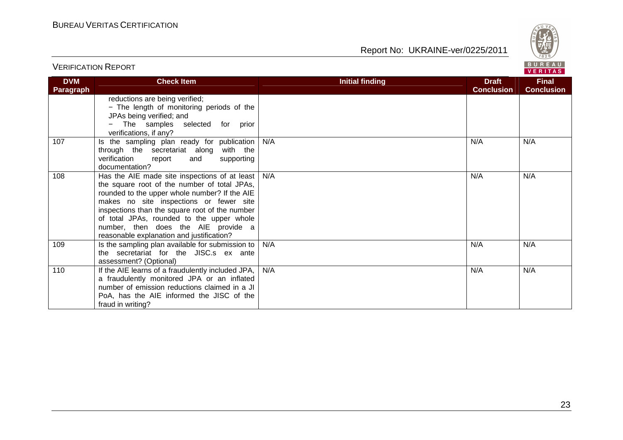

| <b>DVM</b> | <b>Check Item</b>                                                                                                                                                                                                                                                                                                                                                            | <b>Initial finding</b> | <b>Draft</b>      | <b>Final</b>      |
|------------|------------------------------------------------------------------------------------------------------------------------------------------------------------------------------------------------------------------------------------------------------------------------------------------------------------------------------------------------------------------------------|------------------------|-------------------|-------------------|
| Paragraph  | reductions are being verified;<br>- The length of monitoring periods of the<br>JPAs being verified; and<br>The samples selected for prior<br>verifications, if any?                                                                                                                                                                                                          |                        | <b>Conclusion</b> | <b>Conclusion</b> |
| 107        | Is the sampling plan ready for publication<br>through the secretariat along with the<br>verification<br>report<br>supporting<br>and<br>documentation?                                                                                                                                                                                                                        | N/A                    | N/A               | N/A               |
| 108        | Has the AIE made site inspections of at least<br>the square root of the number of total JPAs,<br>rounded to the upper whole number? If the AIE<br>makes no site inspections or fewer site<br>inspections than the square root of the number<br>of total JPAs, rounded to the upper whole<br>number, then does the AIE provide a<br>reasonable explanation and justification? | N/A                    | N/A               | N/A               |
| 109        | Is the sampling plan available for submission to<br>the secretariat for the JISC.s ex ante<br>assessment? (Optional)                                                                                                                                                                                                                                                         | N/A                    | N/A               | N/A               |
| 110        | If the AIE learns of a fraudulently included JPA,<br>a fraudulently monitored JPA or an inflated<br>number of emission reductions claimed in a JI<br>PoA, has the AIE informed the JISC of the<br>fraud in writing?                                                                                                                                                          | N/A                    | N/A               | N/A               |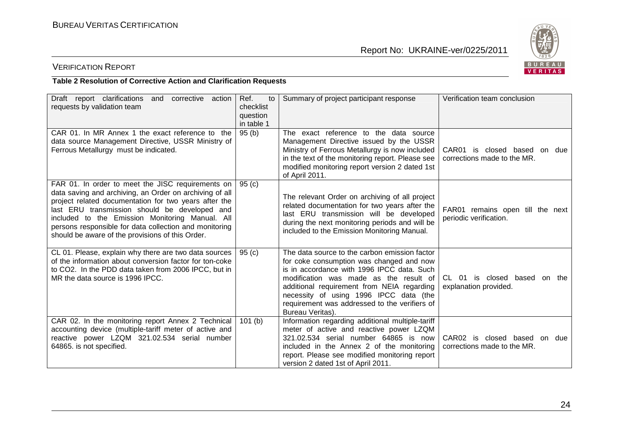

## VERIFICATION REPORT

#### **Table 2 Resolution of Corrective Action and Clarification Requests**

| Draft report clarifications<br>corrective action<br>and<br>requests by validation team                                                                                                                                                                                                                                                                                                    | Ref.<br>to<br>checklist<br>question<br>in table 1 | Summary of project participant response                                                                                                                                                                                                                                                                                                        | Verification team conclusion                                |
|-------------------------------------------------------------------------------------------------------------------------------------------------------------------------------------------------------------------------------------------------------------------------------------------------------------------------------------------------------------------------------------------|---------------------------------------------------|------------------------------------------------------------------------------------------------------------------------------------------------------------------------------------------------------------------------------------------------------------------------------------------------------------------------------------------------|-------------------------------------------------------------|
| CAR 01. In MR Annex 1 the exact reference to the<br>data source Management Directive, USSR Ministry of<br>Ferrous Metallurgy must be indicated.                                                                                                                                                                                                                                           | 95(b)                                             | The exact reference to the data source<br>Management Directive issued by the USSR<br>Ministry of Ferrous Metallurgy is now included<br>in the text of the monitoring report. Please see<br>modified monitoring report version 2 dated 1st<br>of April 2011.                                                                                    | CAR01 is closed based on due<br>corrections made to the MR. |
| FAR 01. In order to meet the JISC requirements on  <br>data saving and archiving, an Order on archiving of all<br>project related documentation for two years after the<br>last ERU transmission should be developed and<br>included to the Emission Monitoring Manual. All<br>persons responsible for data collection and monitoring<br>should be aware of the provisions of this Order. | 95(c)                                             | The relevant Order on archiving of all project<br>related documentation for two years after the<br>last ERU transmission will be developed<br>during the next monitoring periods and will be<br>included to the Emission Monitoring Manual.                                                                                                    | FAR01 remains open till the next<br>periodic verification.  |
| CL 01. Please, explain why there are two data sources<br>of the information about conversion factor for ton-coke<br>to CO2. In the PDD data taken from 2006 IPCC, but in<br>MR the data source is 1996 IPCC.                                                                                                                                                                              | 95(c)                                             | The data source to the carbon emission factor<br>for coke consumption was changed and now<br>is in accordance with 1996 IPCC data. Such<br>modification was made as the result of<br>additional requirement from NEIA regarding<br>necessity of using 1996 IPCC data (the<br>requirement was addressed to the verifiers of<br>Bureau Veritas). | CL 01 is closed based on the<br>explanation provided.       |
| CAR 02. In the monitoring report Annex 2 Technical<br>accounting device (multiple-tariff meter of active and<br>reactive power LZQM 321.02.534 serial number<br>64865. is not specified.                                                                                                                                                                                                  | 101(b)                                            | Information regarding additional multiple-tariff<br>meter of active and reactive power LZQM<br>321.02.534 serial number 64865 is now<br>included in the Annex 2 of the monitoring<br>report. Please see modified monitoring report<br>version 2 dated 1st of April 2011.                                                                       | CAR02 is closed based on due<br>corrections made to the MR. |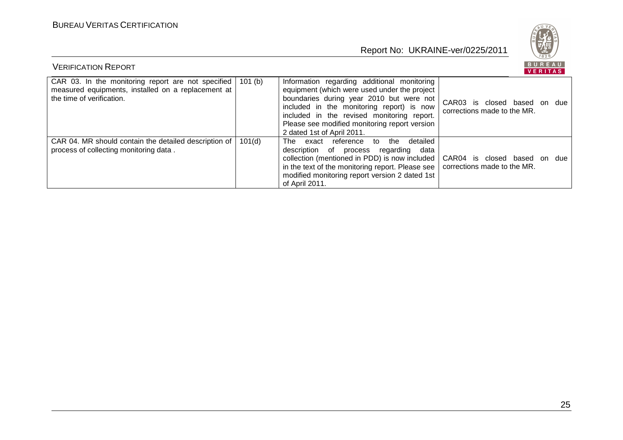

| <b>VERIFICATION REPORT</b>                                                                                                            |         |                                                                                                                                                                                                                                                                                                                   |                                                             | BUREAU<br>VERITAS |  |
|---------------------------------------------------------------------------------------------------------------------------------------|---------|-------------------------------------------------------------------------------------------------------------------------------------------------------------------------------------------------------------------------------------------------------------------------------------------------------------------|-------------------------------------------------------------|-------------------|--|
| CAR 03. In the monitoring report are not specified<br>measured equipments, installed on a replacement at<br>the time of verification. | 101 (b) | Information regarding additional monitoring<br>equipment (which were used under the project<br>boundaries during year 2010 but were not<br>included in the monitoring report) is now<br>included in the revised monitoring report.<br>Please see modified monitoring report version<br>2 dated 1st of April 2011. | CAR03 is closed based on due<br>corrections made to the MR. |                   |  |
| CAR 04. MR should contain the detailed description of<br>process of collecting monitoring data.                                       | 101(d)  | detailed<br>exact reference to the<br>The<br>description of process regarding<br>data<br>collection (mentioned in PDD) is now included  <br>in the text of the monitoring report. Please see  <br>modified monitoring report version 2 dated 1st<br>of April 2011.                                                | CAR04 is closed based on due<br>corrections made to the MR. |                   |  |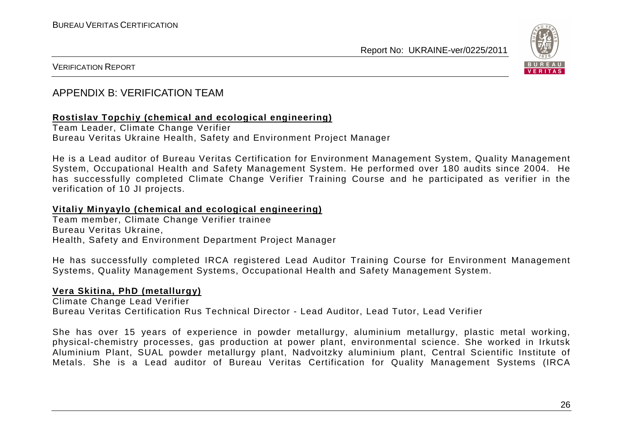

#### VERIFICATION REPORT

## APPENDIX B: VERIFICATION TEAM

#### **Rostislav Topchiy (chemical and ecological engineering)**

Team Leader, Climate Change Verifier Bureau Veritas Ukraine Health, Safety and Environment Project Manager

He is a Lead auditor of Bureau Veritas Certification for Environment Management System, Quality Management System, Occupational Health and Safety Management System. He performed over 180 audits since 2004. He has successfully completed Climate Change Verifier Training Course and he participated as verifier in the verification of 10 JI projects.

#### **Vitaliy Minyaylo (chemical and ecological engineering)**

Team member, Climate Change Verifier trainee Bureau Veritas Ukraine, Health, Safety and Environment Department Project Manager

He has successfully completed IRCA registered Lead Auditor Training Course for Environment Management Systems, Quality Management Systems, Occupational Health and Safety Management System.

#### **Vera Skitina, PhD (metallurgy)**

Climate Change Lead Verifier Bureau Veritas Certification Rus Technical Director - Lead Auditor, Lead Tutor, Lead Verifier

She has over 15 years of experience in powder metallurgy, aluminium metallurgy, plastic metal working, physical-chemistry processes, gas production at power plant, environmental science. She worked in Irkutsk Aluminium Plant, SUAL powder metallurgy plant, Nadvoitzky aluminium plant, Central Scientific Institute of Metals. She is a Lead auditor of Bureau Veritas Certification for Quality Management Systems (IRCA